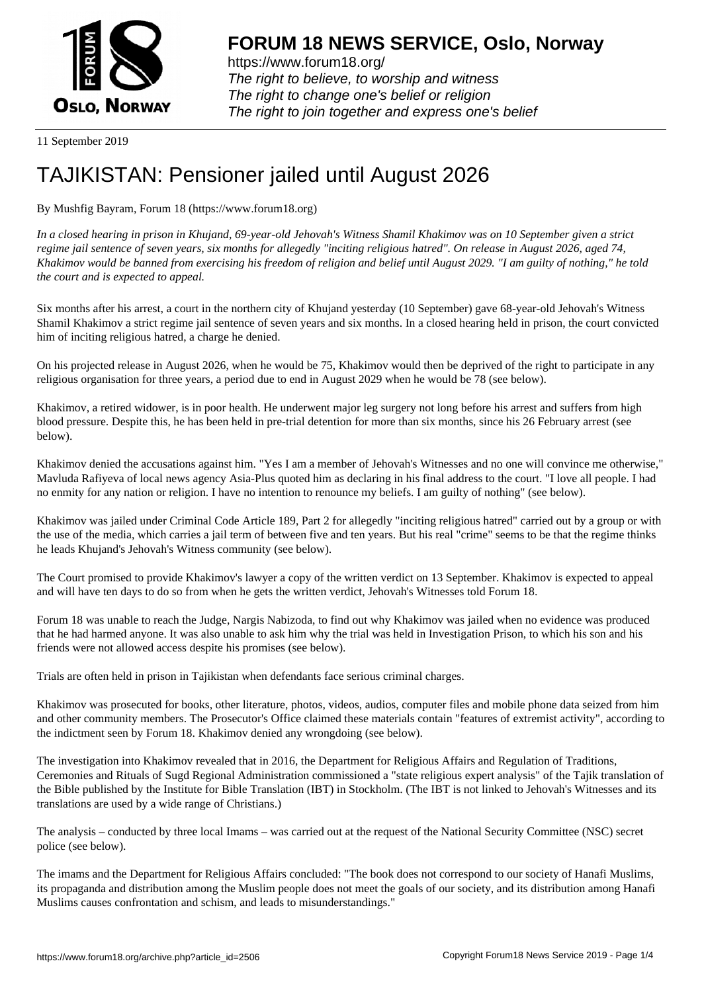

https://www.forum18.org/ The right to believe, to worship and witness The right to change one's belief or religion [The right to join together a](https://www.forum18.org/)nd express one's belief

11 September 2019

## [TAJIKISTAN: P](https://www.forum18.org)ensioner jailed until August 2026

By Mushfig Bayram, Forum 18 (https://www.forum18.org)

*In a closed hearing in prison in Khujand, 69-year-old Jehovah's Witness Shamil Khakimov was on 10 September given a strict regime jail sentence of seven years, six months for allegedly "inciting religious hatred". On release in August 2026, aged 74, Khakimov would be banned from exercising his freedom of religion and belief until August 2029. "I am guilty of nothing," he told the court and is expected to appeal.*

Six months after his arrest, a court in the northern city of Khujand yesterday (10 September) gave 68-year-old Jehovah's Witness Shamil Khakimov a strict regime jail sentence of seven years and six months. In a closed hearing held in prison, the court convicted him of inciting religious hatred, a charge he denied.

On his projected release in August 2026, when he would be 75, Khakimov would then be deprived of the right to participate in any religious organisation for three years, a period due to end in August 2029 when he would be 78 (see below).

Khakimov, a retired widower, is in poor health. He underwent major leg surgery not long before his arrest and suffers from high blood pressure. Despite this, he has been held in pre-trial detention for more than six months, since his 26 February arrest (see below).

Khakimov denied the accusations against him. "Yes I am a member of Jehovah's Witnesses and no one will convince me otherwise," Mavluda Rafiyeva of local news agency Asia-Plus quoted him as declaring in his final address to the court. "I love all people. I had no enmity for any nation or religion. I have no intention to renounce my beliefs. I am guilty of nothing" (see below).

Khakimov was jailed under Criminal Code Article 189, Part 2 for allegedly "inciting religious hatred" carried out by a group or with the use of the media, which carries a jail term of between five and ten years. But his real "crime" seems to be that the regime thinks he leads Khujand's Jehovah's Witness community (see below).

The Court promised to provide Khakimov's lawyer a copy of the written verdict on 13 September. Khakimov is expected to appeal and will have ten days to do so from when he gets the written verdict, Jehovah's Witnesses told Forum 18.

Forum 18 was unable to reach the Judge, Nargis Nabizoda, to find out why Khakimov was jailed when no evidence was produced that he had harmed anyone. It was also unable to ask him why the trial was held in Investigation Prison, to which his son and his friends were not allowed access despite his promises (see below).

Trials are often held in prison in Tajikistan when defendants face serious criminal charges.

Khakimov was prosecuted for books, other literature, photos, videos, audios, computer files and mobile phone data seized from him and other community members. The Prosecutor's Office claimed these materials contain "features of extremist activity", according to the indictment seen by Forum 18. Khakimov denied any wrongdoing (see below).

The investigation into Khakimov revealed that in 2016, the Department for Religious Affairs and Regulation of Traditions, Ceremonies and Rituals of Sugd Regional Administration commissioned a "state religious expert analysis" of the Tajik translation of the Bible published by the Institute for Bible Translation (IBT) in Stockholm. (The IBT is not linked to Jehovah's Witnesses and its translations are used by a wide range of Christians.)

The analysis – conducted by three local Imams – was carried out at the request of the National Security Committee (NSC) secret police (see below).

The imams and the Department for Religious Affairs concluded: "The book does not correspond to our society of Hanafi Muslims, its propaganda and distribution among the Muslim people does not meet the goals of our society, and its distribution among Hanafi Muslims causes confrontation and schism, and leads to misunderstandings."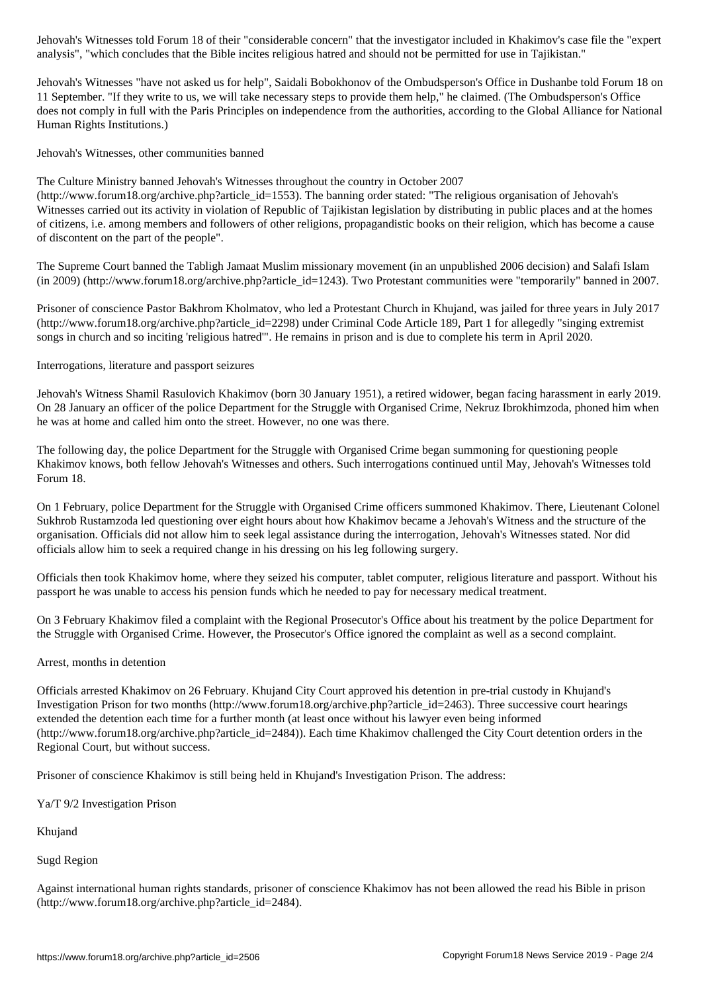Jehovah's Witnesses "have not asked us for help", Saidali Bobokhonov of the Ombudsperson's Office in Dushanbe told Forum 18 on 11 September. "If they write to us, we will take necessary steps to provide them help," he claimed. (The Ombudsperson's Office does not comply in full with the Paris Principles on independence from the authorities, according to the Global Alliance for National Human Rights Institutions.)

analysis", "which concludes that the Bible incites religious hatred and should not be permitted for use in Tajikistan."

Jehovah's Witnesses, other communities banned

The Culture Ministry banned Jehovah's Witnesses throughout the country in October 2007

(http://www.forum18.org/archive.php?article\_id=1553). The banning order stated: "The religious organisation of Jehovah's Witnesses carried out its activity in violation of Republic of Tajikistan legislation by distributing in public places and at the homes of citizens, i.e. among members and followers of other religions, propagandistic books on their religion, which has become a cause of discontent on the part of the people".

The Supreme Court banned the Tabligh Jamaat Muslim missionary movement (in an unpublished 2006 decision) and Salafi Islam (in 2009) (http://www.forum18.org/archive.php?article\_id=1243). Two Protestant communities were "temporarily" banned in 2007.

Prisoner of conscience Pastor Bakhrom Kholmatov, who led a Protestant Church in Khujand, was jailed for three years in July 2017 (http://www.forum18.org/archive.php?article\_id=2298) under Criminal Code Article 189, Part 1 for allegedly "singing extremist songs in church and so inciting 'religious hatred'". He remains in prison and is due to complete his term in April 2020.

Interrogations, literature and passport seizures

Jehovah's Witness Shamil Rasulovich Khakimov (born 30 January 1951), a retired widower, began facing harassment in early 2019. On 28 January an officer of the police Department for the Struggle with Organised Crime, Nekruz Ibrokhimzoda, phoned him when he was at home and called him onto the street. However, no one was there.

The following day, the police Department for the Struggle with Organised Crime began summoning for questioning people Khakimov knows, both fellow Jehovah's Witnesses and others. Such interrogations continued until May, Jehovah's Witnesses told Forum 18.

On 1 February, police Department for the Struggle with Organised Crime officers summoned Khakimov. There, Lieutenant Colonel Sukhrob Rustamzoda led questioning over eight hours about how Khakimov became a Jehovah's Witness and the structure of the organisation. Officials did not allow him to seek legal assistance during the interrogation, Jehovah's Witnesses stated. Nor did officials allow him to seek a required change in his dressing on his leg following surgery.

Officials then took Khakimov home, where they seized his computer, tablet computer, religious literature and passport. Without his passport he was unable to access his pension funds which he needed to pay for necessary medical treatment.

On 3 February Khakimov filed a complaint with the Regional Prosecutor's Office about his treatment by the police Department for the Struggle with Organised Crime. However, the Prosecutor's Office ignored the complaint as well as a second complaint.

Arrest, months in detention

Officials arrested Khakimov on 26 February. Khujand City Court approved his detention in pre-trial custody in Khujand's Investigation Prison for two months (http://www.forum18.org/archive.php?article\_id=2463). Three successive court hearings extended the detention each time for a further month (at least once without his lawyer even being informed (http://www.forum18.org/archive.php?article\_id=2484)). Each time Khakimov challenged the City Court detention orders in the Regional Court, but without success.

Prisoner of conscience Khakimov is still being held in Khujand's Investigation Prison. The address:

Ya/T 9/2 Investigation Prison

Khujand

Sugd Region

Against international human rights standards, prisoner of conscience Khakimov has not been allowed the read his Bible in prison (http://www.forum18.org/archive.php?article\_id=2484).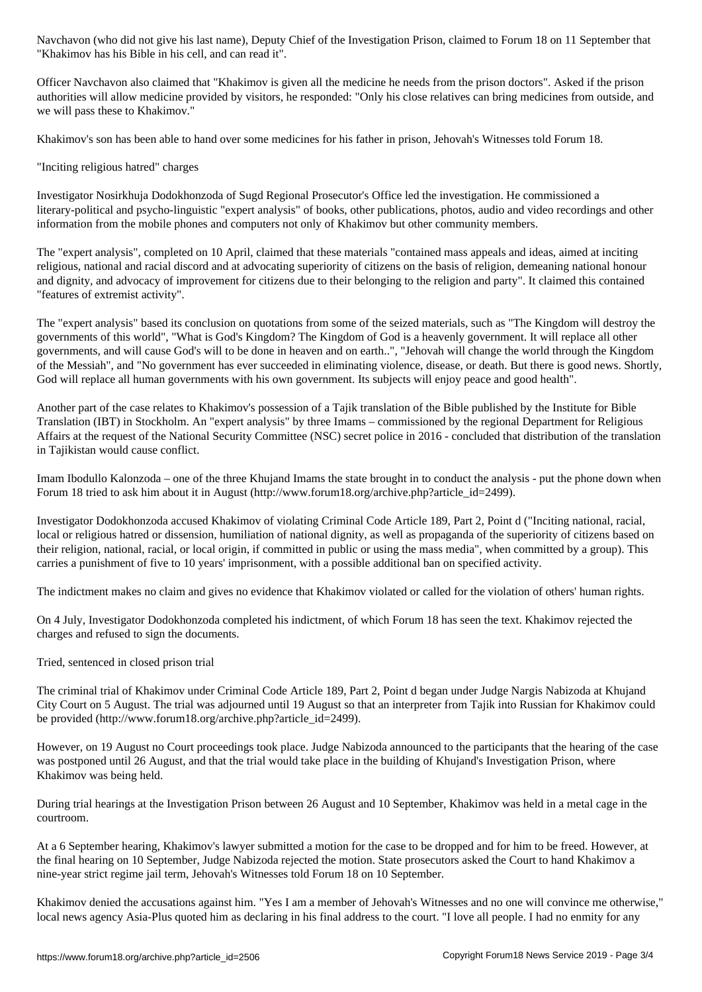Officer Navchavon also claimed that "Khakimov is given all the medicine he needs from the prison doctors". Asked if the prison authorities will allow medicine provided by visitors, he responded: "Only his close relatives can bring medicines from outside, and we will pass these to Khakimov."

Khakimov's son has been able to hand over some medicines for his father in prison, Jehovah's Witnesses told Forum 18.

"Inciting religious hatred" charges

 $\mathcal{N}$  his Bible in his Bible in his cell, and can read it in his cell, and can read it is cell, and can read it is considered in the canonical control of  $\mathcal{N}$ 

Investigator Nosirkhuja Dodokhonzoda of Sugd Regional Prosecutor's Office led the investigation. He commissioned a literary-political and psycho-linguistic "expert analysis" of books, other publications, photos, audio and video recordings and other information from the mobile phones and computers not only of Khakimov but other community members.

The "expert analysis", completed on 10 April, claimed that these materials "contained mass appeals and ideas, aimed at inciting religious, national and racial discord and at advocating superiority of citizens on the basis of religion, demeaning national honour and dignity, and advocacy of improvement for citizens due to their belonging to the religion and party". It claimed this contained "features of extremist activity".

The "expert analysis" based its conclusion on quotations from some of the seized materials, such as "The Kingdom will destroy the governments of this world", "What is God's Kingdom? The Kingdom of God is a heavenly government. It will replace all other governments, and will cause God's will to be done in heaven and on earth..", "Jehovah will change the world through the Kingdom of the Messiah", and "No government has ever succeeded in eliminating violence, disease, or death. But there is good news. Shortly, God will replace all human governments with his own government. Its subjects will enjoy peace and good health".

Another part of the case relates to Khakimov's possession of a Tajik translation of the Bible published by the Institute for Bible Translation (IBT) in Stockholm. An "expert analysis" by three Imams – commissioned by the regional Department for Religious Affairs at the request of the National Security Committee (NSC) secret police in 2016 - concluded that distribution of the translation in Tajikistan would cause conflict.

Imam Ibodullo Kalonzoda – one of the three Khujand Imams the state brought in to conduct the analysis - put the phone down when Forum 18 tried to ask him about it in August (http://www.forum18.org/archive.php?article\_id=2499).

Investigator Dodokhonzoda accused Khakimov of violating Criminal Code Article 189, Part 2, Point d ("Inciting national, racial, local or religious hatred or dissension, humiliation of national dignity, as well as propaganda of the superiority of citizens based on their religion, national, racial, or local origin, if committed in public or using the mass media", when committed by a group). This carries a punishment of five to 10 years' imprisonment, with a possible additional ban on specified activity.

The indictment makes no claim and gives no evidence that Khakimov violated or called for the violation of others' human rights.

On 4 July, Investigator Dodokhonzoda completed his indictment, of which Forum 18 has seen the text. Khakimov rejected the charges and refused to sign the documents.

Tried, sentenced in closed prison trial

The criminal trial of Khakimov under Criminal Code Article 189, Part 2, Point d began under Judge Nargis Nabizoda at Khujand City Court on 5 August. The trial was adjourned until 19 August so that an interpreter from Tajik into Russian for Khakimov could be provided (http://www.forum18.org/archive.php?article\_id=2499).

However, on 19 August no Court proceedings took place. Judge Nabizoda announced to the participants that the hearing of the case was postponed until 26 August, and that the trial would take place in the building of Khujand's Investigation Prison, where Khakimov was being held.

During trial hearings at the Investigation Prison between 26 August and 10 September, Khakimov was held in a metal cage in the courtroom.

At a 6 September hearing, Khakimov's lawyer submitted a motion for the case to be dropped and for him to be freed. However, at the final hearing on 10 September, Judge Nabizoda rejected the motion. State prosecutors asked the Court to hand Khakimov a nine-year strict regime jail term, Jehovah's Witnesses told Forum 18 on 10 September.

Khakimov denied the accusations against him. "Yes I am a member of Jehovah's Witnesses and no one will convince me otherwise," local news agency Asia-Plus quoted him as declaring in his final address to the court. "I love all people. I had no enmity for any